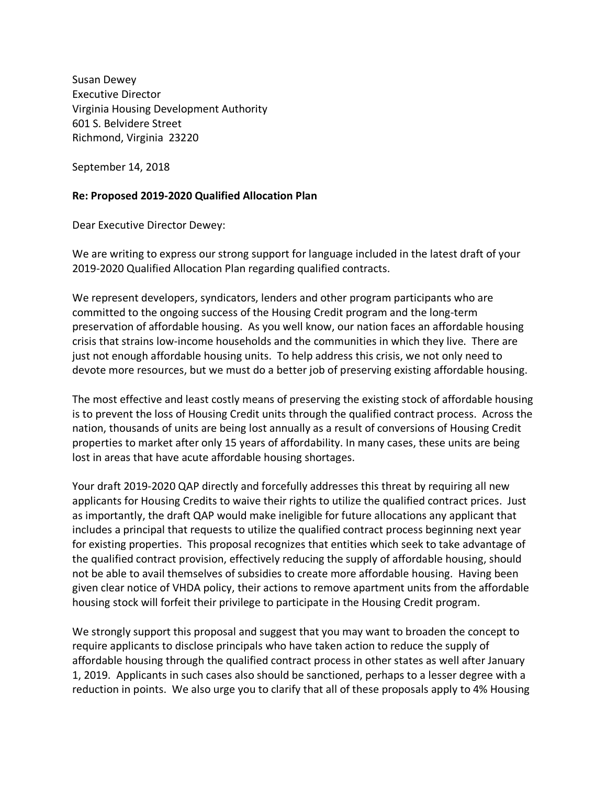Susan Dewey Executive Director Virginia Housing Development Authority 601 S. Belvidere Street Richmond, Virginia 23220

September 14, 2018

## **Re: Proposed 2019-2020 Qualified Allocation Plan**

Dear Executive Director Dewey:

We are writing to express our strong support for language included in the latest draft of your 2019-2020 Qualified Allocation Plan regarding qualified contracts.

We represent developers, syndicators, lenders and other program participants who are committed to the ongoing success of the Housing Credit program and the long-term preservation of affordable housing. As you well know, our nation faces an affordable housing crisis that strains low-income households and the communities in which they live. There are just not enough affordable housing units. To help address this crisis, we not only need to devote more resources, but we must do a better job of preserving existing affordable housing.

The most effective and least costly means of preserving the existing stock of affordable housing is to prevent the loss of Housing Credit units through the qualified contract process. Across the nation, thousands of units are being lost annually as a result of conversions of Housing Credit properties to market after only 15 years of affordability. In many cases, these units are being lost in areas that have acute affordable housing shortages.

Your draft 2019-2020 QAP directly and forcefully addresses this threat by requiring all new applicants for Housing Credits to waive their rights to utilize the qualified contract prices. Just as importantly, the draft QAP would make ineligible for future allocations any applicant that includes a principal that requests to utilize the qualified contract process beginning next year for existing properties. This proposal recognizes that entities which seek to take advantage of the qualified contract provision, effectively reducing the supply of affordable housing, should not be able to avail themselves of subsidies to create more affordable housing. Having been given clear notice of VHDA policy, their actions to remove apartment units from the affordable housing stock will forfeit their privilege to participate in the Housing Credit program.

We strongly support this proposal and suggest that you may want to broaden the concept to require applicants to disclose principals who have taken action to reduce the supply of affordable housing through the qualified contract process in other states as well after January 1, 2019. Applicants in such cases also should be sanctioned, perhaps to a lesser degree with a reduction in points. We also urge you to clarify that all of these proposals apply to 4% Housing